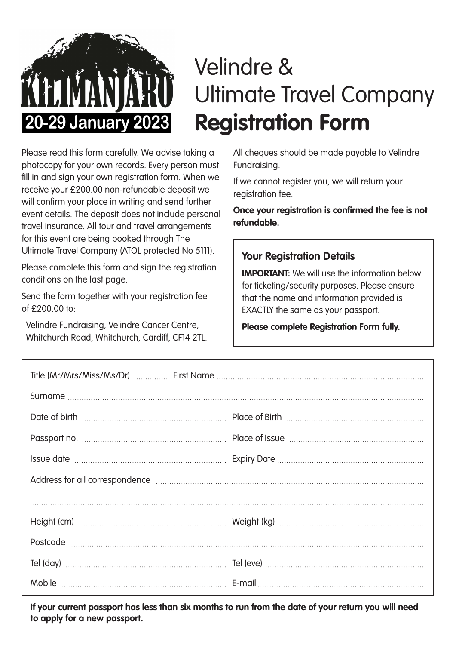

# Velindre & Ultimate Travel Company **Registration Form**

Please read this form carefully. We advise taking a photocopy for your own records. Every person must fill in and sign your own registration form. When we receive your £200.00 non-refundable deposit we will confirm your place in writing and send further event details. The deposit does not include personal travel insurance. All tour and travel arrangements for this event are being booked through The Ultimate Travel Company (ATOL protected No 5111).

Please complete this form and sign the registration conditions on the last page.

Send the form together with your registration fee of  $f$  200.00 to:

Velindre Fundraising, Velindre Cancer Centre, Whitchurch Road, Whitchurch, Cardiff, CF14 2TL. All cheques should be made payable to Velindre Fundraising.

If we cannot register you, we will return your registration fee.

**Once your registration is confirmed the fee is not refundable.**

#### **Your Registration Details**

**IMPORTANT:** We will use the information below for ticketing/security purposes. Please ensure that the name and information provided is EXACTLY the same as your passport.

#### **Please complete Registration Form fully.**

| Address for all correspondence manufactured and all of the state of the contract of the Address for all correspondence |  |
|------------------------------------------------------------------------------------------------------------------------|--|
|                                                                                                                        |  |
|                                                                                                                        |  |
|                                                                                                                        |  |
|                                                                                                                        |  |
|                                                                                                                        |  |

**If your current passport has less than six months to run from the date of your return you will need to apply for a new passport.**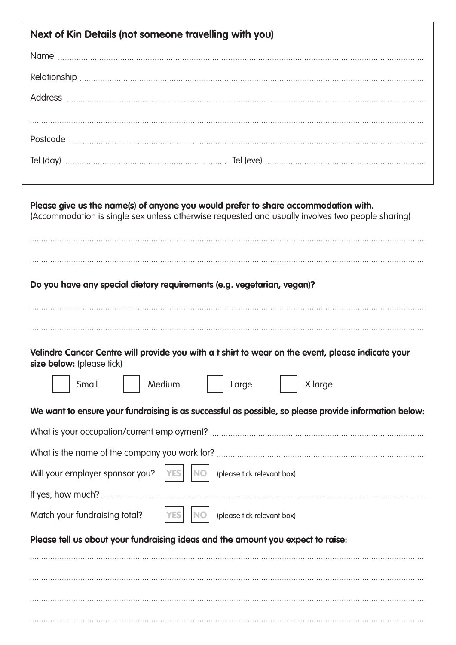| Next of Kin Details (not someone travelling with you)                                                                                                                                  |
|----------------------------------------------------------------------------------------------------------------------------------------------------------------------------------------|
|                                                                                                                                                                                        |
|                                                                                                                                                                                        |
|                                                                                                                                                                                        |
|                                                                                                                                                                                        |
|                                                                                                                                                                                        |
|                                                                                                                                                                                        |
|                                                                                                                                                                                        |
| Please give us the name(s) of anyone you would prefer to share accommodation with.<br>(Accommodation is single sex unless otherwise requested and usually involves two people sharing) |

# **Do you have any special dietary requirements (e.g. vegetarian, vegan)?**

#### **Velindre Cancer Centre will provide you with a t shirt to wear on the event, please indicate your size below:** (please tick)

| Medium<br>Small<br>X large<br>Large                                                                   |
|-------------------------------------------------------------------------------------------------------|
| We want to ensure your fundraising is as successful as possible, so please provide information below: |
|                                                                                                       |
|                                                                                                       |
| Will your employer sponsor you?<br>(please tick relevant box)<br><b>YES</b>                           |
|                                                                                                       |
| Match your fundraising total?<br><b>YES</b><br>(please tick relevant box)                             |
| Please tell us about your fundraising ideas and the amount you expect to raise:                       |
|                                                                                                       |
|                                                                                                       |
|                                                                                                       |
|                                                                                                       |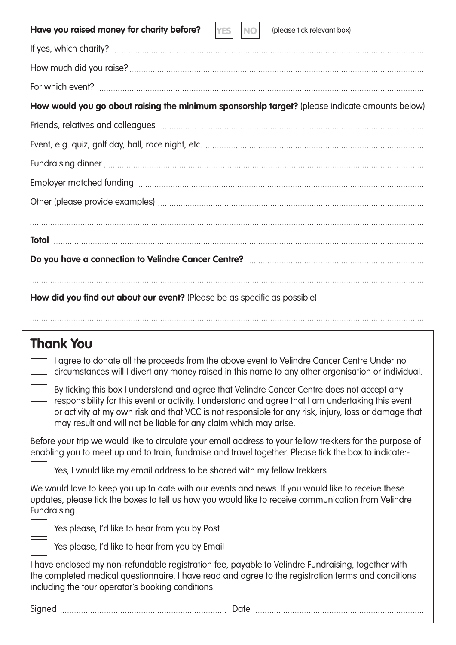| Have you raised money for charity before?<br>(please tick relevant box)<br><b>NO</b><br><b>YES</b>                                                                                                                                                                                                                                                                           |
|------------------------------------------------------------------------------------------------------------------------------------------------------------------------------------------------------------------------------------------------------------------------------------------------------------------------------------------------------------------------------|
|                                                                                                                                                                                                                                                                                                                                                                              |
|                                                                                                                                                                                                                                                                                                                                                                              |
|                                                                                                                                                                                                                                                                                                                                                                              |
| How would you go about raising the minimum sponsorship target? (please indicate amounts below)                                                                                                                                                                                                                                                                               |
|                                                                                                                                                                                                                                                                                                                                                                              |
|                                                                                                                                                                                                                                                                                                                                                                              |
|                                                                                                                                                                                                                                                                                                                                                                              |
|                                                                                                                                                                                                                                                                                                                                                                              |
|                                                                                                                                                                                                                                                                                                                                                                              |
|                                                                                                                                                                                                                                                                                                                                                                              |
|                                                                                                                                                                                                                                                                                                                                                                              |
|                                                                                                                                                                                                                                                                                                                                                                              |
|                                                                                                                                                                                                                                                                                                                                                                              |
| How did you find out about our event? (Please be as specific as possible)                                                                                                                                                                                                                                                                                                    |
|                                                                                                                                                                                                                                                                                                                                                                              |
| <b>Thank You</b>                                                                                                                                                                                                                                                                                                                                                             |
| I agree to donate all the proceeds from the above event to Velindre Cancer Centre Under no<br>circumstances will I divert any money raised in this name to any other organisation or individual.                                                                                                                                                                             |
| By ticking this box I understand and agree that Velindre Cancer Centre does not accept any<br>responsibility for this event or activity. I understand and agree that I am undertaking this event<br>or activity at my own risk and that VCC is not responsible for any risk, injury, loss or damage that<br>may result and will not be liable for any claim which may arise. |

Before your trip we would like to circulate your email address to your fellow trekkers for the purpose of enabling you to meet up and to train, fundraise and travel together. Please tick the box to indicate:-

Yes, I would like my email address to be shared with my fellow trekkers

We would love to keep you up to date with our events and news. If you would like to receive these updates, please tick the boxes to tell us how you would like to receive communication from Velindre Fundraising.

**r** 

Yes please, I'd like to hear from you by Post

Yes please, I'd like to hear from you by Email

I have enclosed my non-refundable registration fee, payable to Velindre Fundraising, together with the completed medical questionnaire. I have read and agree to the registration terms and conditions including the tour operator's booking conditions.

Signed Date